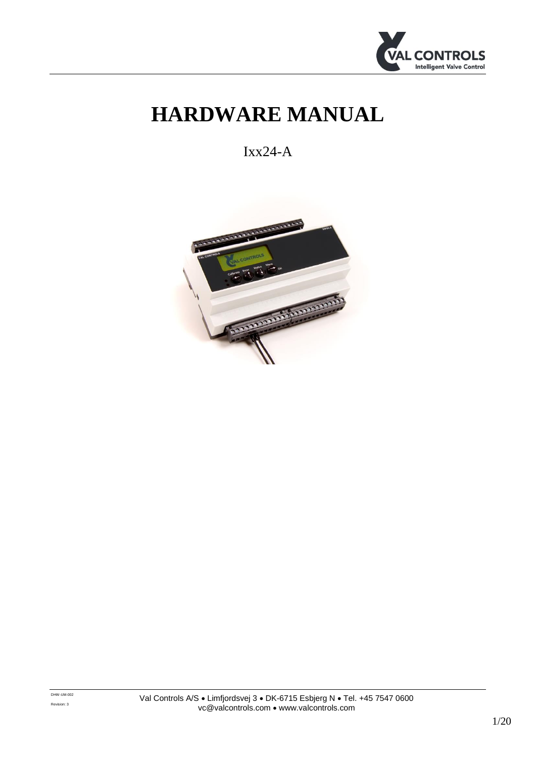

# **HARDWARE MANUAL**

Ixx24-A

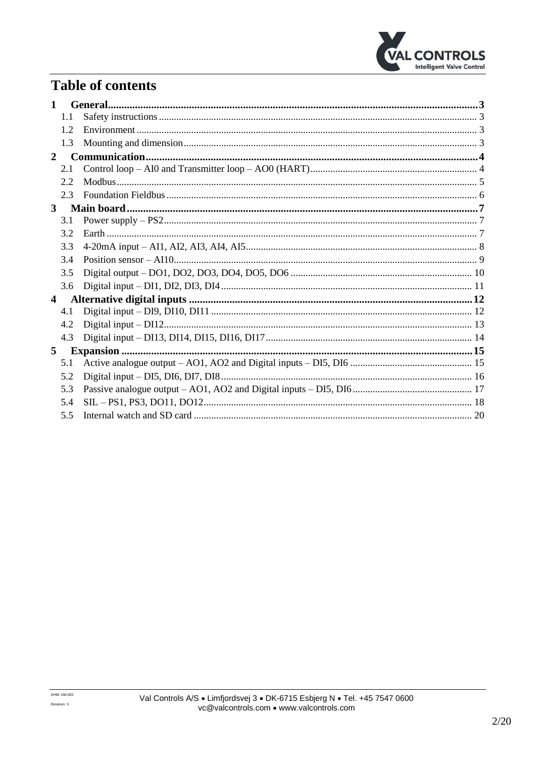

## **Table of contents**

| 1            |     |  |
|--------------|-----|--|
|              | 1.1 |  |
|              | 1.2 |  |
|              | 1.3 |  |
| $\mathbf{2}$ |     |  |
|              | 2.1 |  |
|              | 2.2 |  |
|              | 2.3 |  |
| 3            |     |  |
|              | 3.1 |  |
|              | 3.2 |  |
|              | 3.3 |  |
|              | 3.4 |  |
|              | 3.5 |  |
|              | 3.6 |  |
| 4            |     |  |
|              | 4.1 |  |
|              | 4.2 |  |
|              | 4.3 |  |
| 5            |     |  |
|              | 5.1 |  |
|              | 5.2 |  |
|              | 5.3 |  |
|              | 5.4 |  |
|              | 5.5 |  |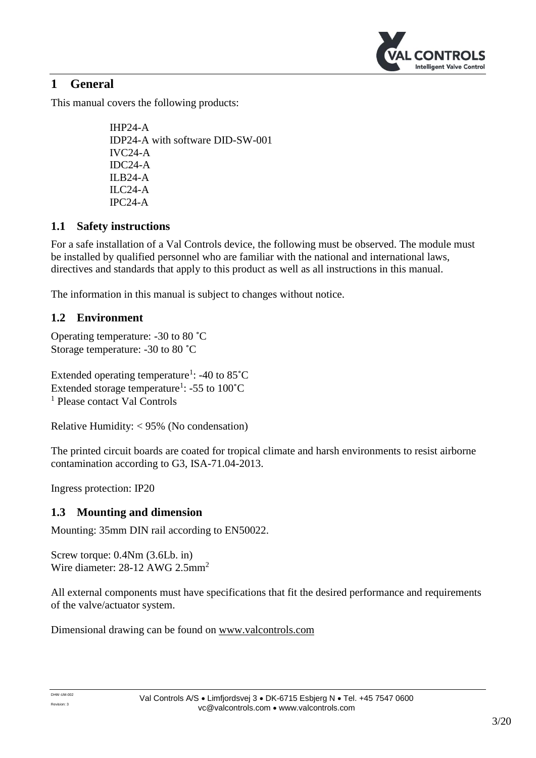

## <span id="page-2-0"></span>**1 General**

This manual covers the following products:

IHP24-A IDP24-A with software DID-SW-001 IVC24-A IDC24-A ILB24-A ILC24-A IPC24-A

## <span id="page-2-1"></span>**1.1 Safety instructions**

For a safe installation of a Val Controls device, the following must be observed. The module must be installed by qualified personnel who are familiar with the national and international laws, directives and standards that apply to this product as well as all instructions in this manual.

The information in this manual is subject to changes without notice.

## <span id="page-2-2"></span>**1.2 Environment**

Operating temperature: -30 to 80 ˚C Storage temperature: -30 to 80 ˚C

Extended operating temperature<sup>1</sup>:  $-40$  to 85 $^{\circ}$ C Extended storage temperature<sup>1</sup>:  $-55$  to  $100^{\circ}$ C <sup>1</sup> Please contact Val Controls

Relative Humidity: < 95% (No condensation)

The printed circuit boards are coated for tropical climate and harsh environments to resist airborne contamination according to G3, ISA-71.04-2013.

Ingress protection: IP20

## <span id="page-2-3"></span>**1.3 Mounting and dimension**

Mounting: 35mm DIN rail according to EN50022.

Screw torque: 0.4Nm (3.6Lb. in) Wire diameter: 28-12 AWG 2.5mm<sup>2</sup>

All external components must have specifications that fit the desired performance and requirements of the valve/actuator system.

Dimensional drawing can be found on [www.valcontrols.com](http://www.valcontrols.com/)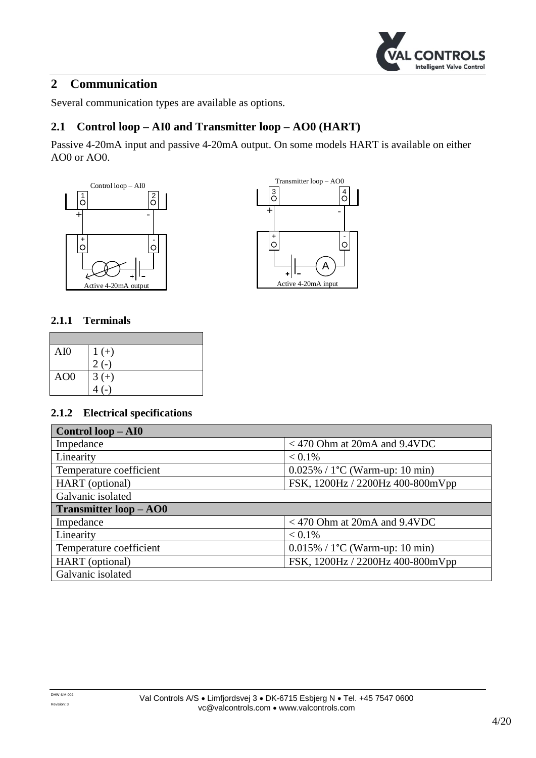

## <span id="page-3-0"></span>**2 Communication**

Several communication types are available as options.

## <span id="page-3-1"></span>**2.1 Control loop – AI0 and Transmitter loop – AO0 (HART)**

Passive 4-20mA input and passive 4-20mA output. On some models HART is available on either AO0 or AO0.





#### **2.1.1 Terminals**

| AI0             | $\frac{1}{2}$ (-) |
|-----------------|-------------------|
|                 |                   |
| AO <sub>0</sub> | $3 (+)$<br>4 (-)  |
|                 |                   |

| Control loop – AI0            |                                          |  |  |
|-------------------------------|------------------------------------------|--|--|
| Impedance                     | $<$ 470 Ohm at 20mA and 9.4VDC           |  |  |
| Linearity                     | $< 0.1\%$                                |  |  |
| Temperature coefficient       | $0.025\% / 1^{\circ}C$ (Warm-up: 10 min) |  |  |
| HART (optional)               | FSK, 1200Hz / 2200Hz 400-800mVpp         |  |  |
| Galvanic isolated             |                                          |  |  |
|                               |                                          |  |  |
| <b>Transmitter loop - AO0</b> |                                          |  |  |
| Impedance                     | $<$ 470 Ohm at 20mA and 9.4VDC           |  |  |
| Linearity                     | $< 0.1\%$                                |  |  |
| Temperature coefficient       | $0.015\% / 1^{\circ}C$ (Warm-up: 10 min) |  |  |
| HART (optional)               | FSK, 1200Hz / 2200Hz 400-800mVpp         |  |  |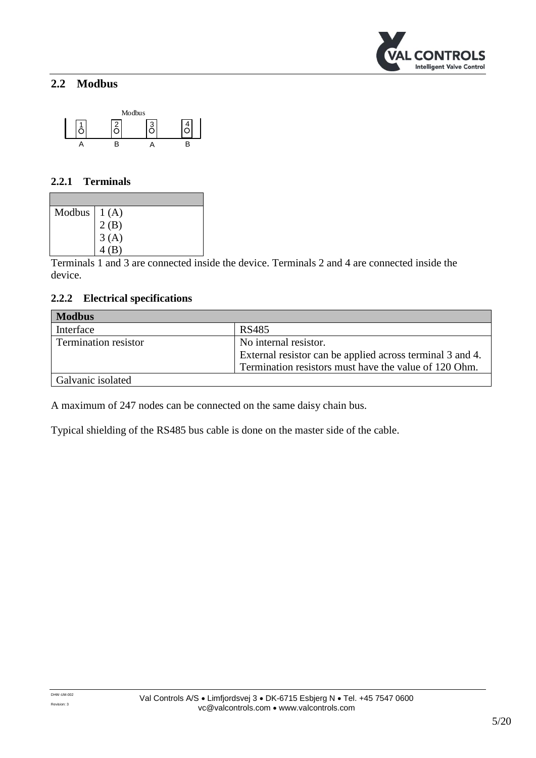

## <span id="page-4-0"></span>**2.2 Modbus**



#### **2.2.1 Terminals**

| Modbus $\begin{bmatrix} 1 (A) \\ 2 (B) \\ 3 (A) \\ 4 (B) \end{bmatrix}$ |  |
|-------------------------------------------------------------------------|--|
|                                                                         |  |
|                                                                         |  |
|                                                                         |  |

Terminals 1 and 3 are connected inside the device. Terminals 2 and 4 are connected inside the device.

#### **2.2.2 Electrical specifications**

| <b>Modbus</b>               |                                                           |  |  |
|-----------------------------|-----------------------------------------------------------|--|--|
| Interface                   | RS485                                                     |  |  |
| <b>Termination resistor</b> | No internal resistor.                                     |  |  |
|                             | External resistor can be applied across terminal 3 and 4. |  |  |
|                             | Termination resistors must have the value of 120 Ohm.     |  |  |
| Galvanic isolated           |                                                           |  |  |

A maximum of 247 nodes can be connected on the same daisy chain bus.

Typical shielding of the RS485 bus cable is done on the master side of the cable.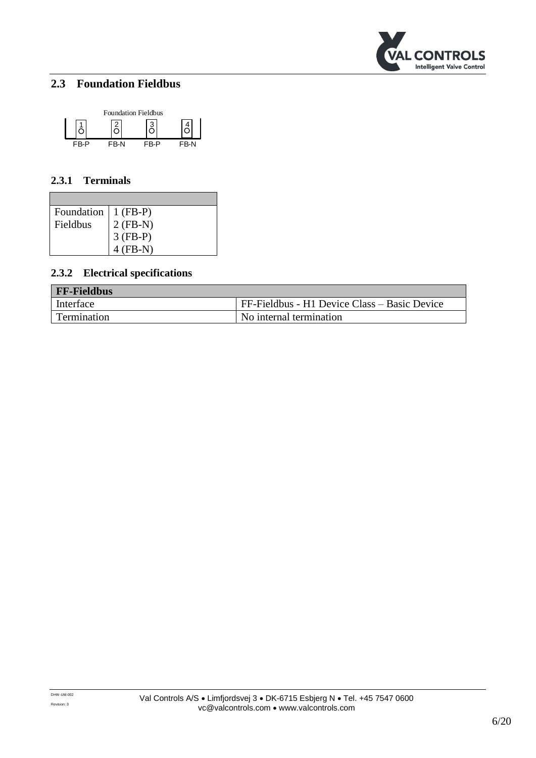

## <span id="page-5-0"></span>**2.3 Foundation Fieldbus**



#### **2.3.1 Terminals**

| Foundation   1 (FB-P) |                                        |
|-----------------------|----------------------------------------|
| Fieldbus              |                                        |
|                       | $2 (FB-N)$<br>$3 (FB-P)$<br>$4 (FB-N)$ |
|                       |                                        |

| <b>FF-Fieldbus</b> |                                              |  |  |
|--------------------|----------------------------------------------|--|--|
| Interface          | FF-Fieldbus - H1 Device Class – Basic Device |  |  |
| Termination        | l No internal termination                    |  |  |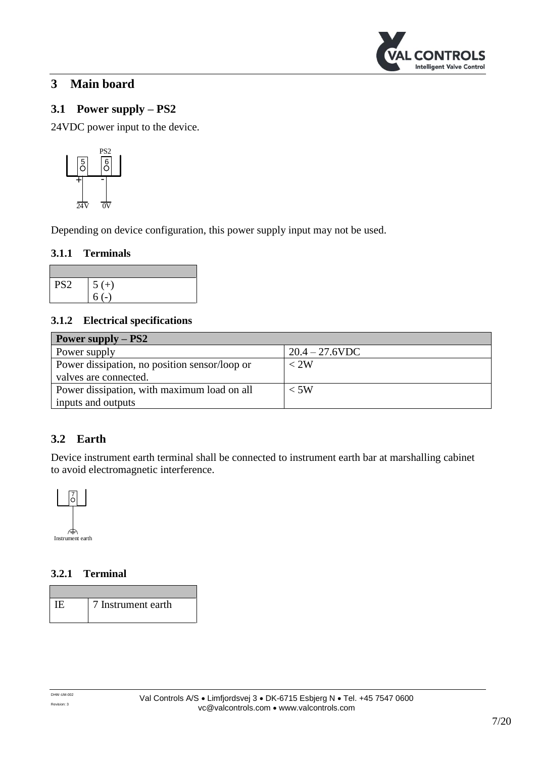

## <span id="page-6-0"></span>**3 Main board**

## <span id="page-6-1"></span>**3.1 Power supply – PS2**

24VDC power input to the device.



Depending on device configuration, this power supply input may not be used.

#### **3.1.1 Terminals**

| PS <sub>2</sub> | $5 (+)$ |
|-----------------|---------|
|                 |         |

#### **3.1.2 Electrical specifications**

| Power supply $-$ PS2                          |                   |  |  |
|-----------------------------------------------|-------------------|--|--|
| Power supply                                  | $20.4 - 27.6$ VDC |  |  |
| Power dissipation, no position sensor/loop or | $<$ 2W            |  |  |
| valves are connected.                         |                   |  |  |
| Power dissipation, with maximum load on all   | $<$ 5W            |  |  |
| inputs and outputs                            |                   |  |  |

## <span id="page-6-2"></span>**3.2 Earth**

Device instrument earth terminal shall be connected to instrument earth bar at marshalling cabinet to avoid electromagnetic interference.



#### **3.2.1 Terminal**

IE 7 Instrument earth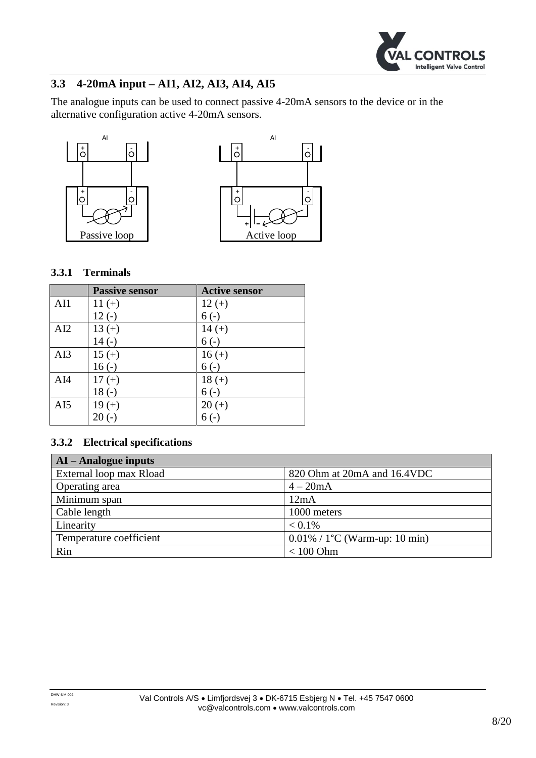

## <span id="page-7-0"></span>**3.3 4-20mA input – AI1, AI2, AI3, AI4, AI5**

The analogue inputs can be used to connect passive 4-20mA sensors to the device or in the alternative configuration active 4-20mA sensors.





#### **3.3.1 Terminals**

|     | <b>Passive sensor</b> | <b>Active sensor</b> |
|-----|-----------------------|----------------------|
| AI1 | $11 (+)$              | $12 (+)$             |
|     | $12(-)$               | $6(-)$               |
| AI2 | $13 (+)$              | $14 (+)$             |
|     | $14(-)$               | $6(-)$               |
| AI3 | $15 (+)$              | $16 (+)$             |
|     | $16(-)$               | $6(-)$               |
| AI4 | $17 (+)$              | $18 (+)$             |
|     | $18(-)$               | $6(-)$               |
| AI5 | $19 (+)$              | $20 (+)$             |
|     | $20(-)$               | $6(-)$               |

| $AI - Analogue$ inputs  |                                               |  |  |
|-------------------------|-----------------------------------------------|--|--|
| External loop max Rload | 820 Ohm at 20mA and 16.4VDC                   |  |  |
| Operating area          | $4-20mA$                                      |  |  |
| Minimum span            | 12mA                                          |  |  |
| Cable length            | 1000 meters                                   |  |  |
| Linearity               | $< 0.1\%$                                     |  |  |
| Temperature coefficient | $0.01\%$ / 1 <sup>o</sup> C (Warm-up: 10 min) |  |  |
| Rin                     | $< 100$ Ohm                                   |  |  |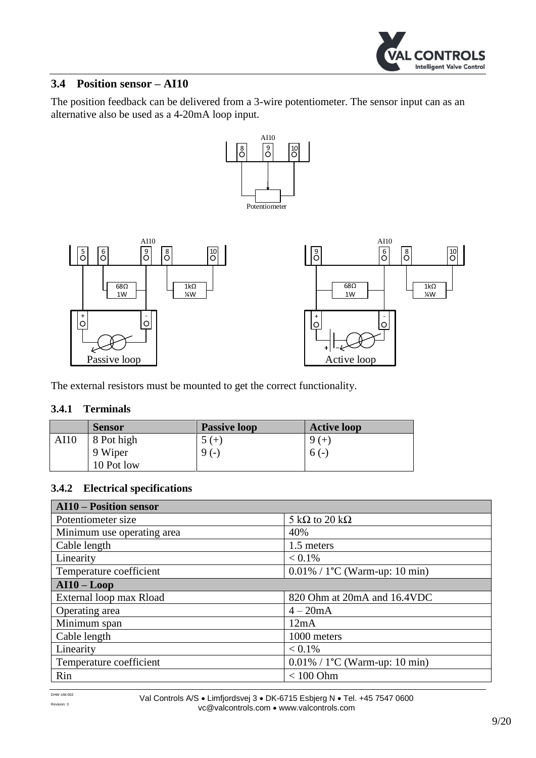

#### <span id="page-8-0"></span>**3.4 Position sensor – AI10**

The position feedback can be delivered from a 3-wire potentiometer. The sensor input can as an alternative also be used as a 4-20mA loop input.



The external resistors must be mounted to get the correct functionality.

#### **3.4.1 Terminals**

|      | <b>Sensor</b> | <b>Passive loop</b> | <b>Active loop</b> |
|------|---------------|---------------------|--------------------|
| AI10 | 8 Pot high    | $5(+)$              | $9 (+)$            |
|      | 9 Wiper       | 9(1)                | $6(-)$             |
|      | 10 Pot low    |                     |                    |

| <b>AI10 - Position sensor</b> |                                   |  |
|-------------------------------|-----------------------------------|--|
| Potentiometer size            | 5 k $\Omega$ to 20 k $\Omega$     |  |
| Minimum use operating area    | 40%                               |  |
| Cable length                  | 1.5 meters                        |  |
| Linearity                     | $< 0.1\%$                         |  |
| Temperature coefficient       | $0.01\% / 1$ °C (Warm-up: 10 min) |  |
| $AI10 - Loop$                 |                                   |  |
| External loop max Rload       | 820 Ohm at 20mA and 16.4VDC       |  |
| Operating area                | $4-20mA$                          |  |
| Minimum span                  | 12mA                              |  |
| Cable length                  | 1000 meters                       |  |
| Linearity                     | $< 0.1\%$                         |  |
| Temperature coefficient       | $0.01\% / 1$ °C (Warm-up: 10 min) |  |
| Rin                           | $< 100$ Ohm                       |  |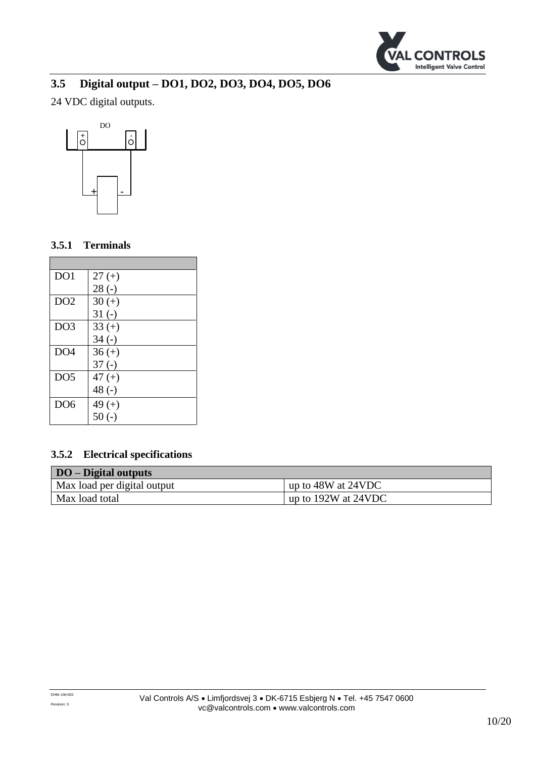

## <span id="page-9-0"></span>**3.5 Digital output – DO1, DO2, DO3, DO4, DO5, DO6**

24 VDC digital outputs.



#### **3.5.1 Terminals**

| DO1             | $27 (+)$ |
|-----------------|----------|
|                 | $28(-)$  |
| DO2             | $30 (+)$ |
|                 | $31(-)$  |
| DO <sub>3</sub> | $33 (+)$ |
|                 | $34(-)$  |
| DO <sub>4</sub> | $36 (+)$ |
|                 | $37(-)$  |
| DO <sub>5</sub> | $47 (+)$ |
|                 | 48 $(-)$ |
| DO <sub>6</sub> | 49 $(+)$ |
|                 | $50(-)$  |

| <b>DO</b> – Digital outputs |                         |
|-----------------------------|-------------------------|
| Max load per digital output | up to 48W at 24VDC      |
| Max load total              | up to $192W$ at $24VDC$ |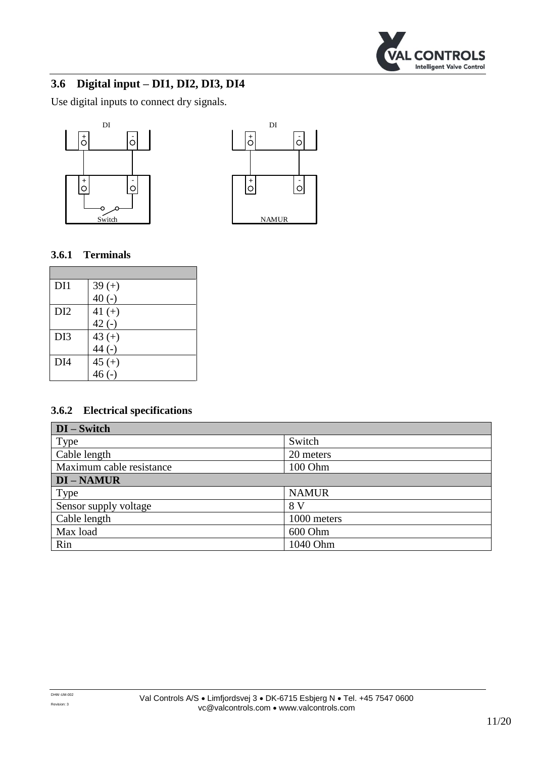

## <span id="page-10-0"></span>**3.6 Digital input – DI1, DI2, DI3, DI4**

Use digital inputs to connect dry signals.





## **3.6.1 Terminals**

| DI1             | $39 (+)$  |
|-----------------|-----------|
|                 | $40(-)$   |
| DI <sub>2</sub> | 41 $(+)$  |
|                 | $42(-)$   |
| DI3             | 43 $(+)$  |
|                 | $44(-)$   |
| DI4             | $45 (+)$  |
|                 | $46( - )$ |

| $DI - Switch$            |              |  |
|--------------------------|--------------|--|
| Type                     | Switch       |  |
| Cable length             | 20 meters    |  |
| Maximum cable resistance | 100 Ohm      |  |
| <b>DI-NAMUR</b>          |              |  |
| Type                     | <b>NAMUR</b> |  |
| Sensor supply voltage    | 8 V          |  |
| Cable length             | 1000 meters  |  |
| Max load                 | 600 Ohm      |  |
| Rin                      | 1040 Ohm     |  |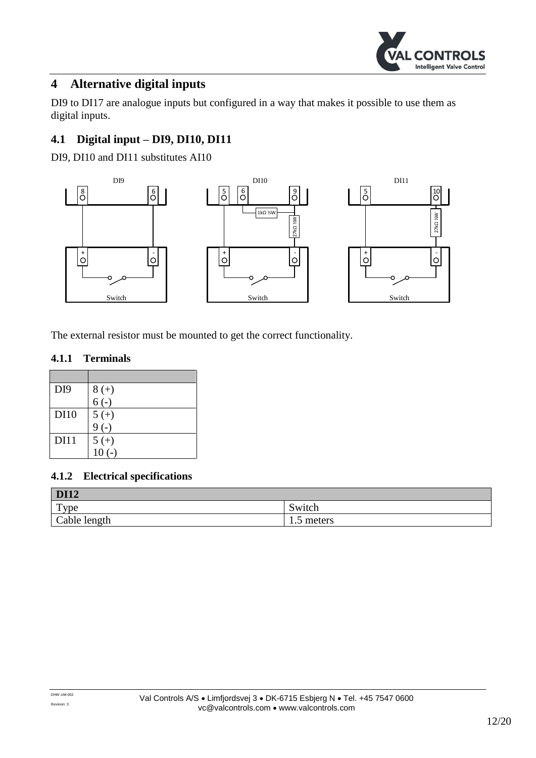

## <span id="page-11-0"></span>**4 Alternative digital inputs**

DI9 to DI17 are analogue inputs but configured in a way that makes it possible to use them as digital inputs.

## <span id="page-11-1"></span>**4.1 Digital input – DI9, DI10, DI11**

DI9, DI10 and DI11 substitutes AI10



The external resistor must be mounted to get the correct functionality.

#### **4.1.1 Terminals**

| DI <sub>9</sub> | $8 (+)$     |
|-----------------|-------------|
|                 | $6(-)$      |
| <b>DI10</b>     | $5 (+)$     |
|                 | $9(-)$      |
| <b>DI11</b>     | $5 (+)$     |
|                 | $(-)$<br>10 |

| <b>DI12</b>    |                         |
|----------------|-------------------------|
| T <sub>Y</sub> | Switch                  |
| Cable length   | meters<br>$\cdot \cdot$ |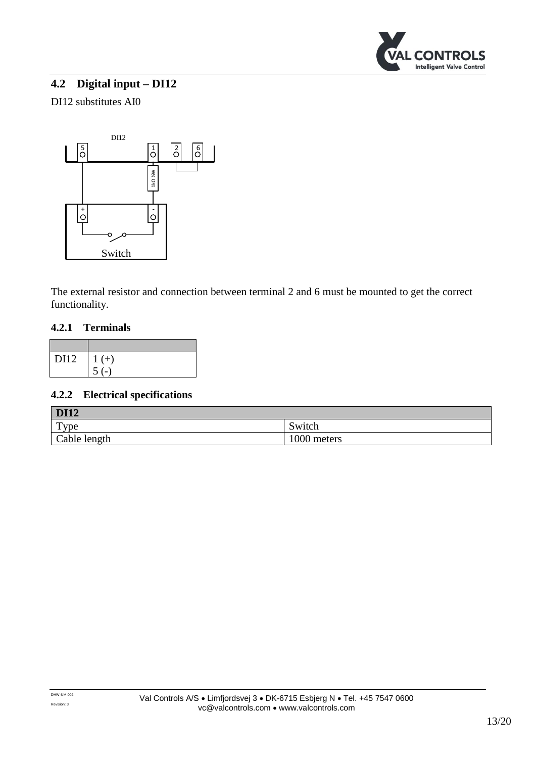

## <span id="page-12-0"></span>**4.2 Digital input – DI12**

#### DI12 substitutes AI0



The external resistor and connection between terminal 2 and 6 must be mounted to get the correct functionality.

#### **4.2.1 Terminals**

| DI12 | $\mid$ 1 (+) |
|------|--------------|
|      | $5( - )$     |

| <b>DI12</b>  |             |
|--------------|-------------|
| Type         | Switch      |
| Cable length | 1000 meters |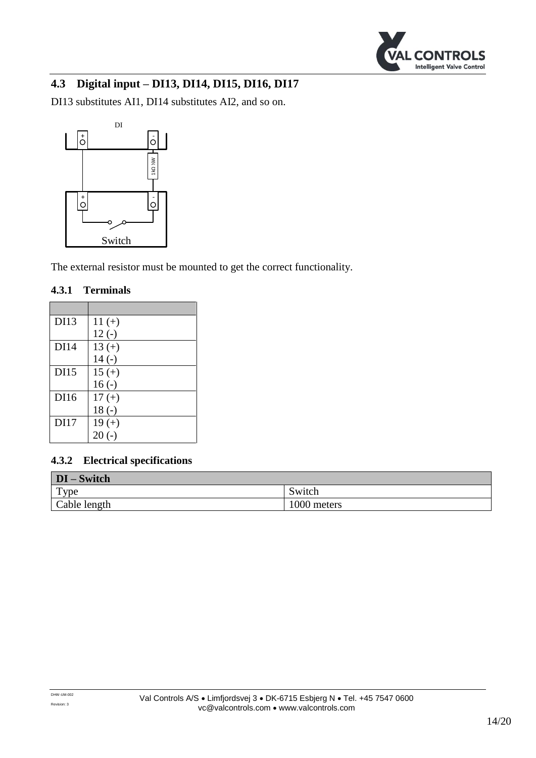

## <span id="page-13-0"></span>**4.3 Digital input – DI13, DI14, DI15, DI16, DI17**

DI13 substitutes AI1, DI14 substitutes AI2, and so on.



The external resistor must be mounted to get the correct functionality.

#### **4.3.1 Terminals**

| DI13        | $11 (+)$ |
|-------------|----------|
|             | $12(-)$  |
| <b>DI14</b> | $13 (+)$ |
|             | $14(-)$  |
| DI15        | $15 (+)$ |
|             | $16(-)$  |
| DI16        | $17 (+)$ |
|             | $18(-)$  |
| DI17        | $19 (+)$ |
|             | $20(-)$  |

| DI-Switch        |             |
|------------------|-------------|
| $_{\text{Type}}$ | Switch      |
| Cable length     | 1000 meters |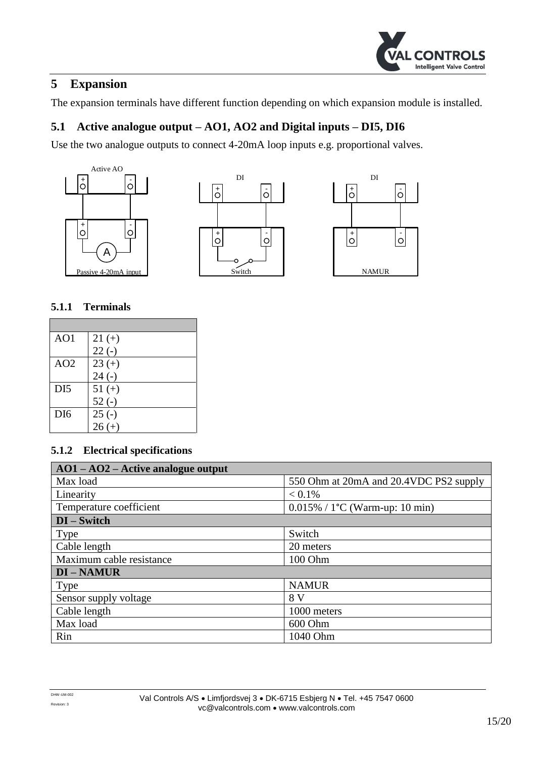

## <span id="page-14-0"></span>**5 Expansion**

The expansion terminals have different function depending on which expansion module is installed.

## <span id="page-14-1"></span>**5.1 Active analogue output – AO1, AO2 and Digital inputs – DI5, DI6**

Use the two analogue outputs to connect 4-20mA loop inputs e.g. proportional valves.







#### **5.1.1 Terminals**

| AO1             | $21 (+)$ |
|-----------------|----------|
|                 | $22(-)$  |
| AO2             | $23 (+)$ |
|                 | $24(-)$  |
| DI <sub>5</sub> | $51 (+)$ |
|                 | $52(-)$  |
| D <sub>I6</sub> | $25(-)$  |
|                 | $26 (+)$ |

| $AO1 - AO2 - Active analogue output$ |                                                |
|--------------------------------------|------------------------------------------------|
| Max load                             | 550 Ohm at 20mA and 20.4VDC PS2 supply         |
| Linearity                            | $< 0.1\%$                                      |
| Temperature coefficient              | $0.015\%$ / 1 <sup>o</sup> C (Warm-up: 10 min) |
| $DI - Switch$                        |                                                |
| Type                                 | Switch                                         |
| Cable length                         | 20 meters                                      |
| Maximum cable resistance             | 100 Ohm                                        |
| <b>DI-NAMUR</b>                      |                                                |
| Type                                 | <b>NAMUR</b>                                   |
| Sensor supply voltage                | 8 V                                            |
| Cable length                         | 1000 meters                                    |
| Max load                             | 600 Ohm                                        |
| Rin                                  | 1040 Ohm                                       |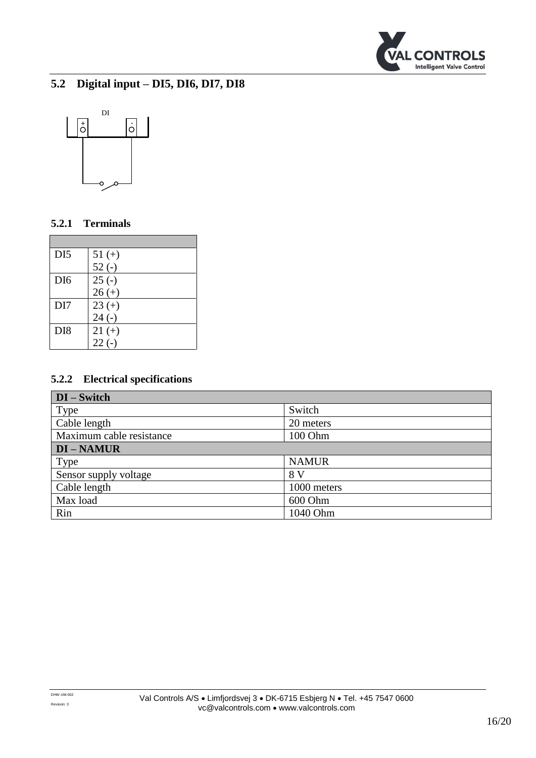

## <span id="page-15-0"></span>**5.2 Digital input – DI5, DI6, DI7, DI8**



#### **5.2.1 Terminals**

| DI <sub>5</sub> | $51 (+)$ |
|-----------------|----------|
|                 | $52(-)$  |
| D <sub>I6</sub> | $25(-)$  |
|                 | $26 (+)$ |
| DI7             | $23 (+)$ |
|                 | $24(-)$  |
| DI <sub>8</sub> | $21 (+)$ |
|                 | $22(-)$  |

| $DI - Switch$            |              |
|--------------------------|--------------|
| <b>Type</b>              | Switch       |
| Cable length             | 20 meters    |
| Maximum cable resistance | 100 Ohm      |
| <b>DI-NAMUR</b>          |              |
| Type                     | <b>NAMUR</b> |
| Sensor supply voltage    | 8 V          |
| Cable length             | 1000 meters  |
| Max load                 | 600 Ohm      |
| Rin                      | 1040 Ohm     |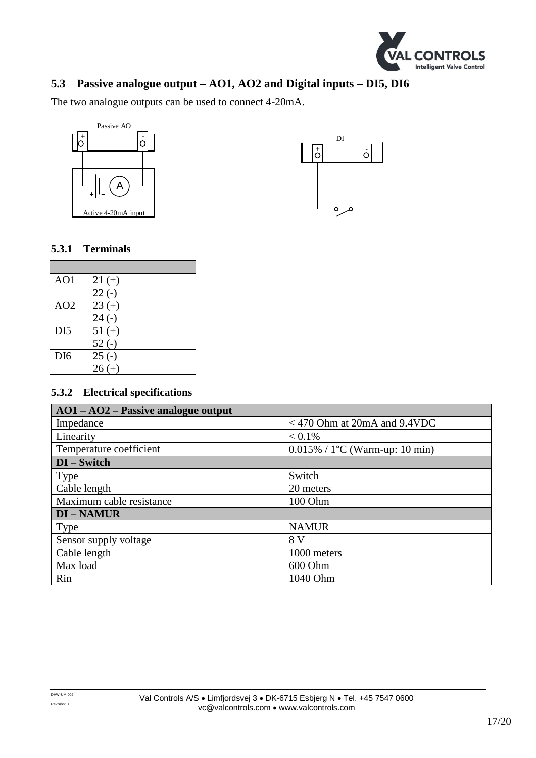

## <span id="page-16-0"></span>**5.3 Passive analogue output – AO1, AO2 and Digital inputs – DI5, DI6**

The two analogue outputs can be used to connect 4-20mA.





#### **5.3.1 Terminals**

| AO1             | $21 (+)$ |
|-----------------|----------|
|                 | $22(-)$  |
| AO2             | $23 (+)$ |
|                 | $24(-)$  |
| DI <sub>5</sub> | $51 (+)$ |
|                 | $52(-)$  |
| DI <sub>6</sub> | $25(-)$  |
|                 | $26 (+)$ |

| $AO1 - AO2 - Passive analogue output$ |                                          |
|---------------------------------------|------------------------------------------|
| Impedance                             | $<$ 470 Ohm at 20mA and 9.4VDC           |
| Linearity                             | $< 0.1\%$                                |
| Temperature coefficient               | $0.015\% / 1^{\circ}C$ (Warm-up: 10 min) |
| $DI - Switch$                         |                                          |
| Type                                  | Switch                                   |
| Cable length                          | 20 meters                                |
| Maximum cable resistance              | 100 Ohm                                  |
| <b>DI-NAMUR</b>                       |                                          |
| <b>Type</b>                           | <b>NAMUR</b>                             |
| Sensor supply voltage                 | 8 V                                      |
| Cable length                          | 1000 meters                              |
| Max load                              | 600 Ohm                                  |
| Rin                                   | 1040 Ohm                                 |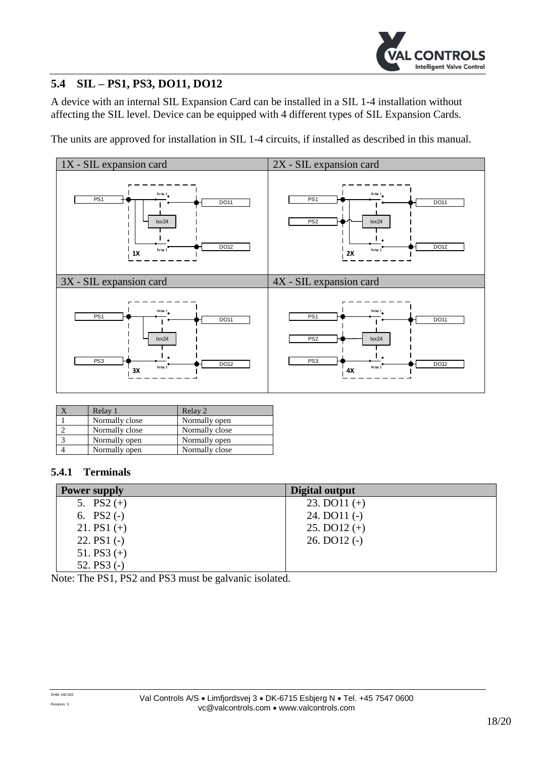

## <span id="page-17-0"></span>**5.4 SIL – PS1, PS3, DO11, DO12**

A device with an internal SIL Expansion Card can be installed in a SIL 1-4 installation without affecting the SIL level. Device can be equipped with 4 different types of SIL Expansion Cards.

The units are approved for installation in SIL 1-4 circuits, if installed as described in this manual.



| Relay 1        | Relay 2        |
|----------------|----------------|
| Normally close | Normally open  |
| Normally close | Normally close |
| Normally open  | Normally open  |
| Normally open  | Normally close |

#### **5.4.1 Terminals**

| <b>Power supply</b> | Digital output   |
|---------------------|------------------|
| 5. $PS2 (+)$        | 23. DO $11 (+)$  |
| 6. $PS2(-)$         | $24.$ DO11 $(-)$ |
| 21. PS1 $(+)$       | 25. DO $12 (+)$  |
| 22. $PS1(-)$        | $26.$ DO12 $(-)$ |
| 51. PS3 $(+)$       |                  |
| 52. $PS3$ (-)       |                  |

Note: The PS1, PS2 and PS3 must be galvanic isolated.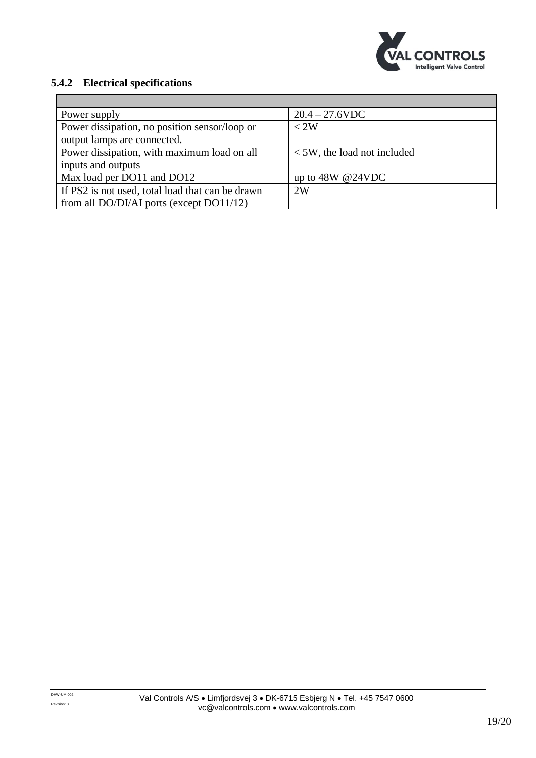

| Power supply                                     | $20.4 - 27.6$ VDC                |
|--------------------------------------------------|----------------------------------|
| Power dissipation, no position sensor/loop or    | < 2W                             |
| output lamps are connected.                      |                                  |
| Power dissipation, with maximum load on all      | $\leq$ 5W, the load not included |
| inputs and outputs                               |                                  |
| Max load per DO11 and DO12                       | up to $48W @ 24VDC$              |
| If PS2 is not used, total load that can be drawn | 2W                               |
| from all DO/DI/AI ports (except DO11/12)         |                                  |